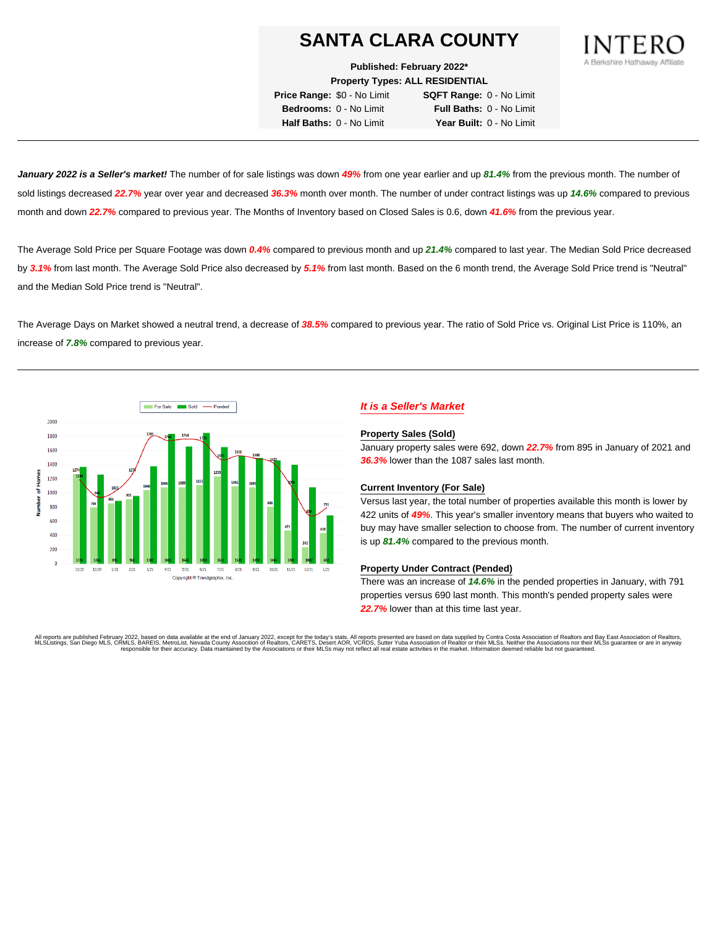**Published: February 2022\***

**Property Types: ALL RESIDENTIAL**

**Price Range:** \$0 - No Limit **SQFT Range:** 0 - No Limit **Bedrooms:** 0 - No Limit **Full Baths:** 0 - No Limit **Half Baths:** 0 - No Limit **Year Built:** 0 - No Limit

**January 2022 is a Seller's market!** The number of for sale listings was down **49%** from one year earlier and up **81.4%** from the previous month. The number of sold listings decreased **22.7%** year over year and decreased **36.3%** month over month. The number of under contract listings was up **14.6%** compared to previous month and down **22.7%** compared to previous year. The Months of Inventory based on Closed Sales is 0.6, down **41.6%** from the previous year.

The Average Sold Price per Square Footage was down **0.4%** compared to previous month and up **21.4%** compared to last year. The Median Sold Price decreased by **3.1%** from last month. The Average Sold Price also decreased by **5.1%** from last month. Based on the 6 month trend, the Average Sold Price trend is "Neutral" and the Median Sold Price trend is "Neutral".

The Average Days on Market showed a neutral trend, a decrease of **38.5%** compared to previous year. The ratio of Sold Price vs. Original List Price is 110%, an increase of **7.8%** compared to previous year.



## **It is a Seller's Market**

#### **Property Sales (Sold)**

January property sales were 692, down **22.7%** from 895 in January of 2021 and **36.3%** lower than the 1087 sales last month.

### **Current Inventory (For Sale)**

Versus last year, the total number of properties available this month is lower by 422 units of **49%**. This year's smaller inventory means that buyers who waited to buy may have smaller selection to choose from. The number of current inventory is up **81.4%** compared to the previous month.

### **Property Under Contract (Pended)**

There was an increase of **14.6%** in the pended properties in January, with 791 properties versus 690 last month. This month's pended property sales were **22.7%** lower than at this time last year.

All reports are published February 2022, based on data available at the end of January 2022, except for the today's stats. All reports presented are based on data supplied by Contra Costa Association of Realtors and Bay Ea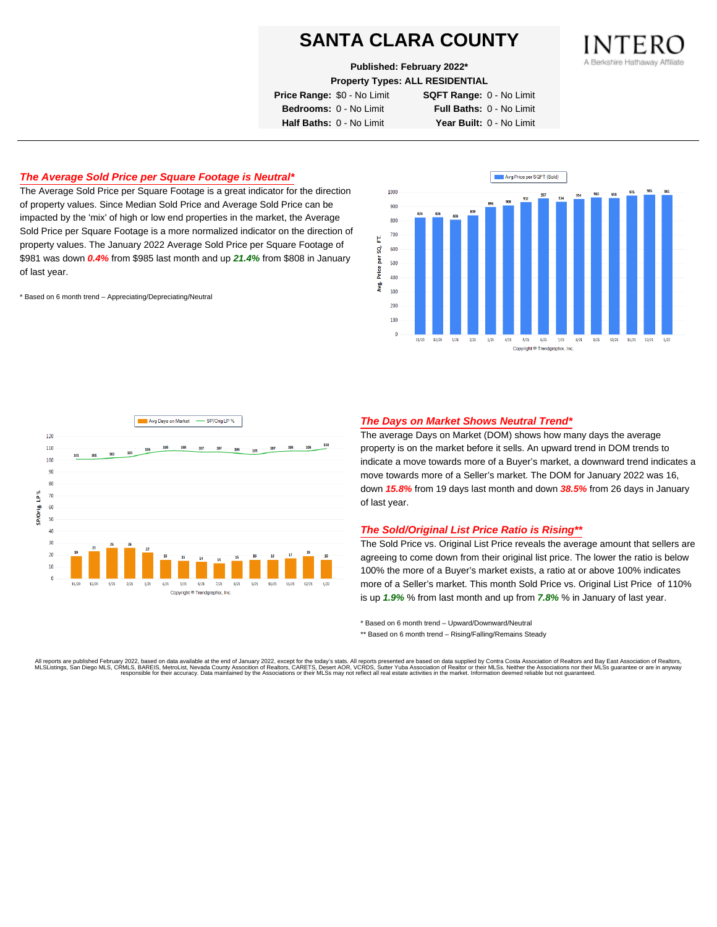**Published: February 2022\***

**Property Types: ALL RESIDENTIAL**

**Price Range:** \$0 - No Limit **SQFT Range:** 0 - No Limit

**Bedrooms:** 0 - No Limit **Full Baths:** 0 - No Limit **Half Baths:** 0 - No Limit **Year Built:** 0 - No Limit

## **The Average Sold Price per Square Footage is Neutral\***

The Average Sold Price per Square Footage is a great indicator for the direction of property values. Since Median Sold Price and Average Sold Price can be impacted by the 'mix' of high or low end properties in the market, the Average Sold Price per Square Footage is a more normalized indicator on the direction of property values. The January 2022 Average Sold Price per Square Footage of \$981 was down **0.4%** from \$985 last month and up **21.4%** from \$808 in January of last year.

\* Based on 6 month trend – Appreciating/Depreciating/Neutral





## **The Days on Market Shows Neutral Trend\***

The average Days on Market (DOM) shows how many days the average property is on the market before it sells. An upward trend in DOM trends to indicate a move towards more of a Buyer's market, a downward trend indicates a move towards more of a Seller's market. The DOM for January 2022 was 16, down **15.8%** from 19 days last month and down **38.5%** from 26 days in January of last year.

### **The Sold/Original List Price Ratio is Rising\*\***

The Sold Price vs. Original List Price reveals the average amount that sellers are agreeing to come down from their original list price. The lower the ratio is below 100% the more of a Buyer's market exists, a ratio at or above 100% indicates more of a Seller's market. This month Sold Price vs. Original List Price of 110% is up **1.9%** % from last month and up from **7.8%** % in January of last year.

\* Based on 6 month trend – Upward/Downward/Neutral

\*\* Based on 6 month trend - Rising/Falling/Remains Steady

All reports are published February 2022, based on data available at the end of January 2022, except for the today's stats. All reports presented are based on data supplied by Contra Costa Association of Realtors and Bay Ea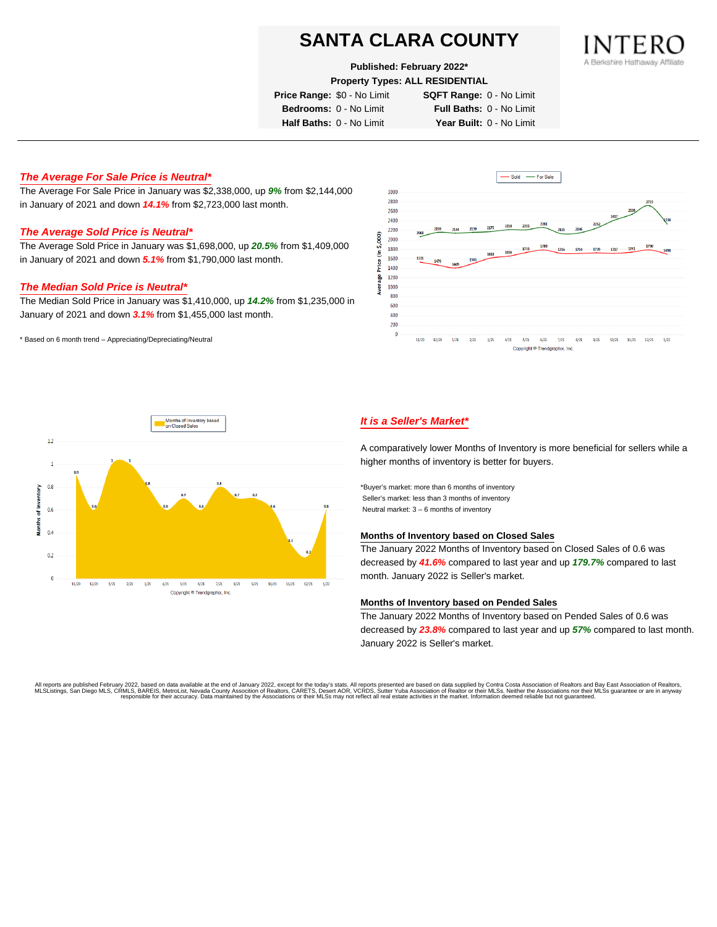## **Published: February 2022\***

**Property Types: ALL RESIDENTIAL**

**Price Range:** \$0 - No Limit **SQFT Range:** 0 - No Limit

**Bedrooms:** 0 - No Limit **Full Baths:** 0 - No Limit **Half Baths:** 0 - No Limit **Year Built:** 0 - No Limit

## **The Average For Sale Price is Neutral\***

The Average For Sale Price in January was \$2,338,000, up **9%** from \$2,144,000 in January of 2021 and down **14.1%** from \$2,723,000 last month.

### **The Average Sold Price is Neutral\***

The Average Sold Price in January was \$1,698,000, up **20.5%** from \$1,409,000 in January of 2021 and down **5.1%** from \$1,790,000 last month.

## **The Median Sold Price is Neutral\***

The Median Sold Price in January was \$1,410,000, up **14.2%** from \$1,235,000 in January of 2021 and down **3.1%** from \$1,455,000 last month.

\* Based on 6 month trend – Appreciating/Depreciating/Neutral





## **It is a Seller's Market\***

A comparatively lower Months of Inventory is more beneficial for sellers while a higher months of inventory is better for buyers.

\*Buyer's market: more than 6 months of inventory Seller's market: less than 3 months of inventory Neutral market: 3 – 6 months of inventory

#### **Months of Inventory based on Closed Sales**

The January 2022 Months of Inventory based on Closed Sales of 0.6 was decreased by **41.6%** compared to last year and up **179.7%** compared to last month. January 2022 is Seller's market.

#### **Months of Inventory based on Pended Sales**

The January 2022 Months of Inventory based on Pended Sales of 0.6 was decreased by **23.8%** compared to last year and up **57%** compared to last month. January 2022 is Seller's market.

All reports are published February 2022, based on data available at the end of January 2022, except for the today's stats. All reports presented are based on data supplied by Contra Costa Association of Realtors, and beat responsible for their accuracy. Data maintained by the Associations or their MLSs may not reflect all real estate activities in the market. Information deemed reliable but not quaranteed